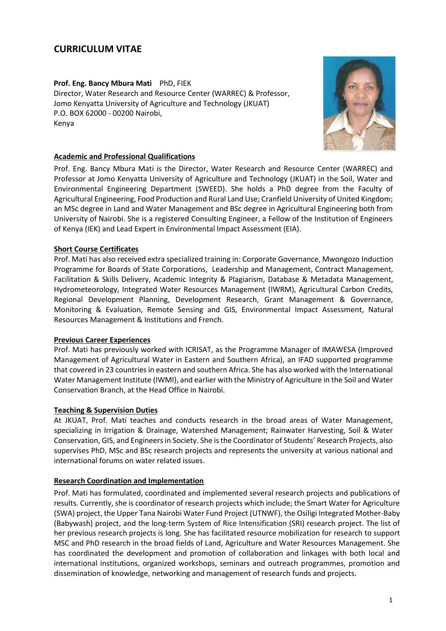# **CURRICULUM VITAE**

**Prof. Eng. Bancy Mbura Mati** PhD, FIEK Director, Water Research and Resource Center (WARREC) & Professor, Jomo Kenyatta University of Agriculture and Technology (JKUAT) P.O. BOX 62000 - 00200 Nairobi, Kenya



# **Academic and Professional Qualifications**

Prof. Eng. Bancy Mbura Mati is the Director, Water Research and Resource Center (WARREC) and Professor at Jomo Kenyatta University of Agriculture and Technology (JKUAT) in the Soil, Water and Environmental Engineering Department (SWEED). She holds a PhD degree from the Faculty of Agricultural Engineering, Food Production and Rural Land Use; Cranfield University of United Kingdom; an MSc degree in Land and Water Management and BSc degree in Agricultural Engineering both from University of Nairobi. She is a registered Consulting Engineer, a Fellow of the Institution of Engineers of Kenya (IEK) and Lead Expert in Environmental Impact Assessment (EIA).

# **Short Course Certificates**

Prof. Mati has also received extra specialized training in: Corporate Governance, Mwongozo Induction Programme for Boards of State Corporations, Leadership and Management, Contract Management, Facilitation & Skills Delivery, Academic Integrity & Plagiarism, Database & Metadata Management, Hydrometeorology, Integrated Water Resources Management (IWRM), Agricultural Carbon Credits, Regional Development Planning, Development Research, Grant Management & Governance, Monitoring & Evaluation, Remote Sensing and GIS, Environmental Impact Assessment, Natural Resources Management & Institutions and French.

## **Previous Career Experiences**

Prof. Mati has previously worked with ICRISAT, as the Programme Manager of IMAWESA (Improved Management of Agricultural Water in Eastern and Southern Africa), an IFAD supported programme that covered in 23 countries in eastern and southern Africa. She has also worked with the International Water Management Institute (IWMI), and earlier with the Ministry of Agriculture in the Soil and Water Conservation Branch, at the Head Office in Nairobi.

## **Teaching & Supervision Duties**

At JKUAT, Prof. Mati teaches and conducts research in the broad areas of Water Management, specializing in Irrigation & Drainage, Watershed Management; Rainwater Harvesting, Soil & Water Conservation, GIS, and Engineers in Society. She is the Coordinator of Students' Research Projects, also supervises PhD, MSc and BSc research projects and represents the university at various national and international forums on water related issues.

## **Research Coordination and Implementation**

Prof. Mati has formulated, coordinated and implemented several research projects and publications of results. Currently, she is coordinator of research projects which include; the Smart Water for Agriculture (SWA) project, the Upper Tana Nairobi Water Fund Project (UTNWF), the Osiligi Integrated Mother-Baby (Babywash) project, and the long-term System of Rice Intensification (SRI) research project. The list of her previous research projects is long. She has facilitated resource mobilization for research to support MSC and PhD research in the broad fields of Land, Agriculture and Water Resources Management. She has coordinated the development and promotion of collaboration and linkages with both local and international institutions, organized workshops, seminars and outreach programmes, promotion and dissemination of knowledge, networking and management of research funds and projects.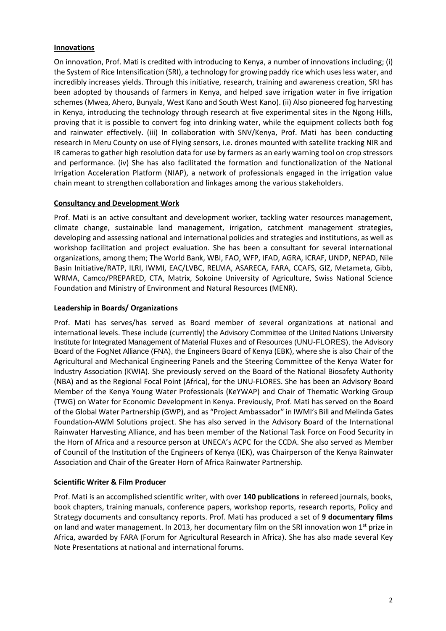# **Innovations**

On innovation, Prof. Mati is credited with introducing to Kenya, a number of innovations including; (i) the System of Rice Intensification (SRI), a technology for growing paddy rice which uses less water, and incredibly increases yields. Through this initiative, research, training and awareness creation, SRI has been adopted by thousands of farmers in Kenya, and helped save irrigation water in five irrigation schemes (Mwea, Ahero, Bunyala, West Kano and South West Kano). (ii) Also pioneered fog harvesting in Kenya, introducing the technology through research at five experimental sites in the Ngong Hills, proving that it is possible to convert fog into drinking water, while the equipment collects both fog and rainwater effectively. (iii) In collaboration with SNV/Kenya, Prof. Mati has been conducting research in Meru County on use of Flying sensors, i.e. drones mounted with satellite tracking NIR and IR cameras to gather high resolution data for use by farmers as an early warning tool on crop stressors and performance. (iv) She has also facilitated the formation and functionalization of the National Irrigation Acceleration Platform (NIAP), a network of professionals engaged in the irrigation value chain meant to strengthen collaboration and linkages among the various stakeholders.

# **Consultancy and Development Work**

Prof. Mati is an active consultant and development worker, tackling water resources management, climate change, sustainable land management, irrigation, catchment management strategies, developing and assessing national and international policies and strategies and institutions, as well as workshop facilitation and project evaluation. She has been a consultant for several international organizations, among them; The World Bank, WBI, FAO, WFP, IFAD, AGRA, ICRAF, UNDP, NEPAD, Nile Basin Initiative/RATP, ILRI, IWMI, EAC/LVBC, RELMA, ASARECA, FARA, CCAFS, GIZ, Metameta, Gibb, WRMA, Camco/PREPARED, CTA, Matrix, Sokoine University of Agriculture, Swiss National Science Foundation and Ministry of Environment and Natural Resources (MENR).

# **Leadership in Boards/ Organizations**

Prof. Mati has serves/has served as Board member of several organizations at national and international levels. These include (currently) the Advisory Committee of the United Nations University Institute for Integrated Management of Material Fluxes and of Resources (UNU-FLORES), the Advisory Board of the FogNet Alliance (FNA), the Engineers Board of Kenya (EBK), where she is also Chair of the Agricultural and Mechanical Engineering Panels and the Steering Committee of the Kenya Water for Industry Association (KWIA). She previously served on the Board of the National Biosafety Authority (NBA) and as the Regional Focal Point (Africa), for the UNU-FLORES. She has been an Advisory Board Member of the Kenya Young Water Professionals (KeYWAP) and Chair of Thematic Working Group (TWG) on Water for Economic Development in Kenya. Previously, Prof. Mati has served on the Board of the Global Water Partnership (GWP), and as "Project Ambassador" in IWMI's Bill and Melinda Gates Foundation-AWM Solutions project. She has also served in the Advisory Board of the International Rainwater Harvesting Alliance, and has been member of the National Task Force on Food Security in the Horn of Africa and a resource person at UNECA's ACPC for the CCDA. She also served as Member of Council of the Institution of the Engineers of Kenya (IEK), was Chairperson of the Kenya Rainwater Association and Chair of the Greater Horn of Africa Rainwater Partnership.

## **Scientific Writer & Film Producer**

Prof. Mati is an accomplished scientific writer, with over **140 publications** in refereed journals, books, book chapters, training manuals, conference papers, workshop reports, research reports, Policy and Strategy documents and consultancy reports. Prof. Mati has produced a set of **9 documentary films** on land and water management. In 2013, her documentary film on the SRI innovation won  $1<sup>st</sup>$  prize in Africa, awarded by FARA (Forum for Agricultural Research in Africa). She has also made several Key Note Presentations at national and international forums.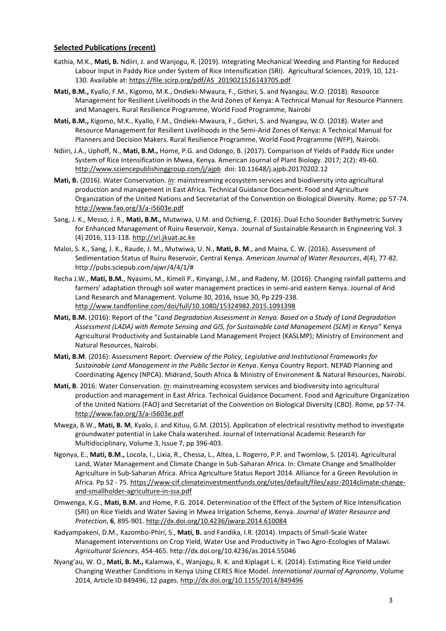#### **Selected Publications (recent)**

- Kathia, M.K., **Mati, B.** Ndiiri, J. and Wanjogu, R. (2019). Integrating Mechanical Weeding and Planting for Reduced Labour Input in Paddy Rice under System of Rice Intensification (SRI). Agricultural Sciences, 2019, 10, 121- 130. Available at: [https://file.scirp.org/pdf/AS\\_2019021516143705.pdf](https://file.scirp.org/pdf/AS_2019021516143705.pdf)
- **Mati, B.M.,** Kyallo, F.M., Kigomo, M.K., Ondieki-Mwaura, F., Githiri, S. and Nyangau, W.O. (2018). Resource Management for Resilient Livelihoods in the Arid Zones of Kenya: A Technical Manual for Resource Planners and Managers. Rural Resilience Programme, World Food Programme, Nairobi
- **Mati, B.M.,** Kigomo, M.K., Kyallo, F.M., Ondieki-Mwaura, F., Githiri, S. and Nyangau, W.O. (2018). Water and Resource Management for Resilient Livelihoods in the Semi-Arid Zones of Kenya: A Technical Manual for Planners and Decision Makers. Rural Resilience Programme, World Food Programme (WFP), Nairobi.
- Ndiiri, J.A., Uphoff, N., **Mati, B.M.,** Home, P.G. and Odongo, B. (2017). Comparison of Yields of Paddy Rice under System of Rice Intensification in Mwea, Kenya. American Journal of Plant Biology. 2017; 2(2): 49-60. <http://www.sciencepublishinggroup.com/j/ajpb>doi: 10.11648/j.ajpb.20170202.12
- **Mati, B.** (2016). Water Conservation. *In*: mainstreaming ecosystem services and biodiversity into agricultural production and management in East Africa. Technical Guidance Document. Food and Agriculture Organization of the United Nations and Secretariat of the Convention on Biological Diversity. Rome; pp 57-74. <http://www.fao.org/3/a-i5603e.pdf>
- Sang, J. K., Messo, J. R., **Mati, B.M.,** Mutwiwa, U.M. and Ochieng, F. (2016). Dual Echo Sounder Bathymetric Survey for Enhanced Management of Ruiru Reservoir, Kenya. Journal of Sustainable Research in Engineering Vol. 3 (4) 2016, 113-118. http://sri.jkuat.ac.ke
- Maloi, S. K., Sang, J. K., Raude, J. M., Mutwiwa, U. N., **Mati, B. M**., and Maina, C. W. (2016). Assessment of Sedimentation Status of Ruiru Reservoir, Central Kenya. *American Journal of Water Resources*, *4*(4), 77-82. http://pubs.sciepub.com/ajwr/4/4/1/#
- Recha J.W., **Mati, B.M.**, Nyasimi, M., Kimeli P., Kinyangi, J.M., and Radeny, M. (2016). Changing rainfall patterns and farmers' adaptation through soil water management practices in semi-arid eastern Kenya. Journal of Arid Land Research and Management. Volume 30, 2016, Issue 30, Pp 229-238. <http://www.tandfonline.com/doi/full/10.1080/15324982.2015.1091398>
- **Mati, B.M.** (2016): Report of the "*Land Degradation Assessment in Kenya. Based on a Study of Land Degradation Assessment (LADA) with Remote Sensing and GIS, for Sustainable Land Management (SLM) in Kenya"* Kenya Agricultural Productivity and Sustainable Land Management Project (KASLMP); Ministry of Environment and Natural Resources, Nairobi.
- **Mati, B.M**. (2016): Assessment Report: *Overview of the Policy, Legislative and Institutional Frameworks for Sustainable Land Management in the Public Sector in Kenya*. Kenya Country Report. NEPAD Planning and Coordinating Agency (NPCA). Midrand, South Africa & Ministry of Environment & Natural Resources, Nairobi.
- **Mati, B**. 2016: Water Conservation. *In*: mainstreaming ecosystem services and biodiversity into agricultural production and management in East Africa. Technical Guidance Document. Food and Agriculture Organization of the United Nations (FAO) and Secretariat of the Convention on Biological Diversity (CBD). Rome, pp 57-74. <http://www.fao.org/3/a-i5603e.pdf>
- Mwega, B.W., **Mati, B. M**, Kyalo, J. and Kituu, G.M. (2015). Application of electrical resistivity method to investigate groundwater potential in Lake Chala watershed. Journal of International Academic Research for Multidisciplinary, Volume 3, Issue 7, pp 396-403.
- Ngonya, E., **Mati, B.M.,** Locola, I., Lixia, R., Chessa, L., Altea, L. Rogerro, P.P. and Twomlow, S. (2014). Agricultural Land, Water Management and Climate Change in Sub-Saharan Africa. In: Climate Change and Smallholder Agriculture in Sub-Saharan Africa. Africa Agriculture Status Report 2014. Alliance for a Green Revolution in Africa. Pp 52 - 75. [https://www-cif.climateinvestmentfunds.org/sites/default/files/aasr-2014climate-change](https://www-cif.climateinvestmentfunds.org/sites/default/files/aasr-2014climate-change-and-smallholder-agriculture-in-ssa.pdf)[and-smallholder-agriculture-in-ssa.pdf](https://www-cif.climateinvestmentfunds.org/sites/default/files/aasr-2014climate-change-and-smallholder-agriculture-in-ssa.pdf)
- Omwenga, K.G., **Mati, B.M.** and Home, P.G. 2014. Determination of the Effect of the System of Rice Intensification (SRI) on Rice Yields and Water Saving in Mwea Irrigation Scheme, Kenya. *Journal of Water Resource and Protection*, **6**, 895-901.<http://dx.doi.org/10.4236/jwarp.2014.610084>
- Kadyampakeni, D.M., Kazombo-Phiri, S., **Mati, B.** and Fandika, I.R. (2014). Impacts of Small-Scale Water Management Interventions on Crop Yield, Water Use and Productivity in Two Agro-Ecologies of Malawi. *Agricultural Sciences*, 454-465. http://dx.doi.org/10.4236/as.2014.55046
- Nyang'au, W. O., **Mati, B. M.,** Kalamwa, K., Wanjogu, R. K. and Kiplagat L. K. (2014). Estimating Rice Yield under Changing Weather Conditions in Kenya Using CERES Rice Model. *International Journal of Agronomy*, Volume 2014, Article ID 849496, 12 pages.<http://dx.doi.org/10.1155/2014/849496>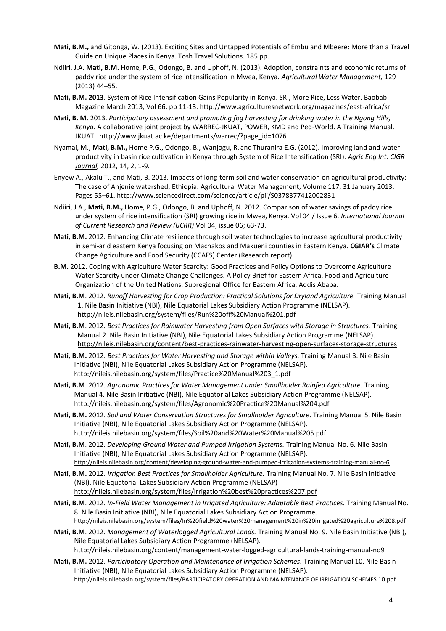- **Mati, B.M.,** and Gitonga, W. (2013). Exciting Sites and Untapped Potentials of Embu and Mbeere: More than a Travel Guide on Unique Places in Kenya. Tosh Travel Solutions. 185 pp.
- Ndiiri, J.A. **Mati, B.M.** Home, P.G., Odongo, B. and Uphoff, N. (2013). Adoption, constraints and economic returns of paddy rice under the system of rice intensification in Mwea, Kenya. *Agricultural Water Management,* 129 (2013) 44–55.
- **Mati, B.M. 2013**. System of Rice Intensification Gains Popularity in Kenya. SRI, More Rice, Less Water. Baobab Magazine March 2013, Vol 66, pp 11-13.<http://www.agriculturesnetwork.org/magazines/east-africa/sri>
- **Mati, B. M**. 2013. *Participatory assessment and promoting fog harvesting for drinking water in the Ngong Hills, Kenya.* A collaborative joint project by WARREC-JKUAT, POWER, KMD and Ped-World. A Training Manual. JKUAT. [http://www.jkuat.ac.ke/departments/warrec/?page\\_id=1076](http://www.jkuat.ac.ke/departments/warrec/?page_id=1076)
- Nyamai, M., **Mati, B.M.,** Home P.G., Odongo, B., Wanjogu, R. and Thuranira E.G. (2012). Improving land and water productivity in basin rice cultivation in Kenya through System of Rice Intensification (SRI). *[Agric Eng Int: CIGR](http://www.refworks.com/refshare/~2~)  [Journal,](http://www.refworks.com/refshare/~2~)* 2012, 14, 2, 1-9.
- [Enyew A.,](http://www.sciencedirect.com/science/article/pii/S0378377412002831) Akalu T., and Mati, B. 2013. Impacts of long-term soil and water conservation on agricultural productivity: The case of Anjenie watershed, Ethiopia[. Agricultural Water Management,](http://www.sciencedirect.com/science/journal/03783774) [Volume 117,](http://www.sciencedirect.com/science/journal/03783774/117/supp/C) 31 January 2013, Pages 55–61.<http://www.sciencedirect.com/science/article/pii/S0378377412002831>
- Ndiiri, J.A., **Mati, B.M.,** Home, P.G., Odongo, B. and Uphoff, N. 2012. Comparison of water savings of paddy rice under system of rice intensification (SRI) growing rice in Mwea, Kenya. Vol 04 / Issue 6. *International Journal of Current Research and Review (IJCRR)* Vol 04, issue 06; 63-73.
- **Mati, B.M.** 2012. Enhancing Climate resilience through soil water technologies to increase agricultural productivity in semi-arid eastern Kenya focusing on Machakos and Makueni counties in Eastern Kenya. **CGIAR's** Climate Change Agriculture and Food Security (CCAFS) Center (Research report).
- **B.M.** 2012. Coping with Agriculture Water Scarcity: Good Practices and Policy Options to Overcome Agriculture Water Scarcity under Climate Change Challenges. A Policy Brief for Eastern Africa. Food and Agriculture Organization of the United Nations. Subregional Office for Eastern Africa. Addis Ababa.
- **Mati, B.M**. 2012. *Runoff Harvesting for Crop Production: Practical Solutions for Dryland Agriculture.* Training Manual 1. Nile Basin Initiative (NBI), Nile Equatorial Lakes Subsidiary Action Programme (NELSAP). <http://nileis.nilebasin.org/system/files/Run%20off%20Manual%201.pdf>
- **Mati, B.M**. 2012. *Best Practices for Rainwater Harvesting from Open Surfaces with Storage in Structures.* Training Manual 2. Nile Basin Initiative (NBI), Nile Equatorial Lakes Subsidiary Action Programme (NELSAP). <http://nileis.nilebasin.org/content/best-practices-rainwater-harvesting-open-surfaces-storage-structures>
- **Mati, B.M.** 2012. *Best Practices for Water Harvesting and Storage within Valleys.* Training Manual 3. Nile Basin Initiative (NBI), Nile Equatorial Lakes Subsidiary Action Programme (NELSAP). [http://nileis.nilebasin.org/system/files/Practice%20Manual%203\\_1.pdf](http://nileis.nilebasin.org/system/files/Practice%20Manual%203_1.pdf)
- **Mati, B.M**. 2012. *Agronomic Practices for Water Management under Smallholder Rainfed Agriculture.* Training Manual 4. Nile Basin Initiative (NBI), Nile Equatorial Lakes Subsidiary Action Programme (NELSAP). <http://nileis.nilebasin.org/system/files/Agronomic%20Practice%20Manual%204.pdf>
- **Mati, B.M.** 2012. *Soil and Water Conservation Structures for Smallholder Agriculture*. Training Manual 5. Nile Basin Initiative (NBI), Nile Equatorial Lakes Subsidiary Action Programme (NELSAP). http://nileis.nilebasin.org/system/files/Soil%20and%20Water%20Manual%205.pdf
- **Mati, B.M**. 2012. *Developing Ground Water and Pumped Irrigation Systems.* Training Manual No. 6. Nile Basin Initiative (NBI), Nile Equatorial Lakes Subsidiary Action Programme (NELSAP). <http://nileis.nilebasin.org/content/developing-ground-water-and-pumped-irrigation-systems-training-manual-no-6>
- **Mati, B.M.** 2012. *Irrigation Best Practices for Smallholder Agriculture.* Training Manual No. 7. Nile Basin Initiative (NBI), Nile Equatorial Lakes Subsidiary Action Programme (NELSAP) <http://nileis.nilebasin.org/system/files/Irrigation%20best%20practices%207.pdf>
- **Mati, B.M**. 2012. *In-Field Water Management in Irrigated Agriculture: Adaptable Best Practices.* Training Manual No. 8. Nile Basin Initiative (NBI), Nile Equatorial Lakes Subsidiary Action Programme. <http://nileis.nilebasin.org/system/files/In%20field%20water%20management%20in%20irrigated%20agriculture%208.pdf>
- **Mati, B.M**. 2012. *Management of Waterlogged Agricultural Lands.* Training Manual No. 9. Nile Basin Initiative (NBI), Nile Equatorial Lakes Subsidiary Action Programme (NELSAP). <http://nileis.nilebasin.org/content/management-water-logged-agricultural-lands-training-manual-no9>
- **Mati, B.M.** 2012. *Participatory Operation and Maintenance of Irrigation Schemes.* Training Manual 10. Nile Basin Initiative (NBI), Nile Equatorial Lakes Subsidiary Action Programme (NELSAP). http://nileis.nilebasin.org/system/files/PARTICIPATORY OPERATION AND MAINTENANCE OF IRRIGATION SCHEMES 10.pdf